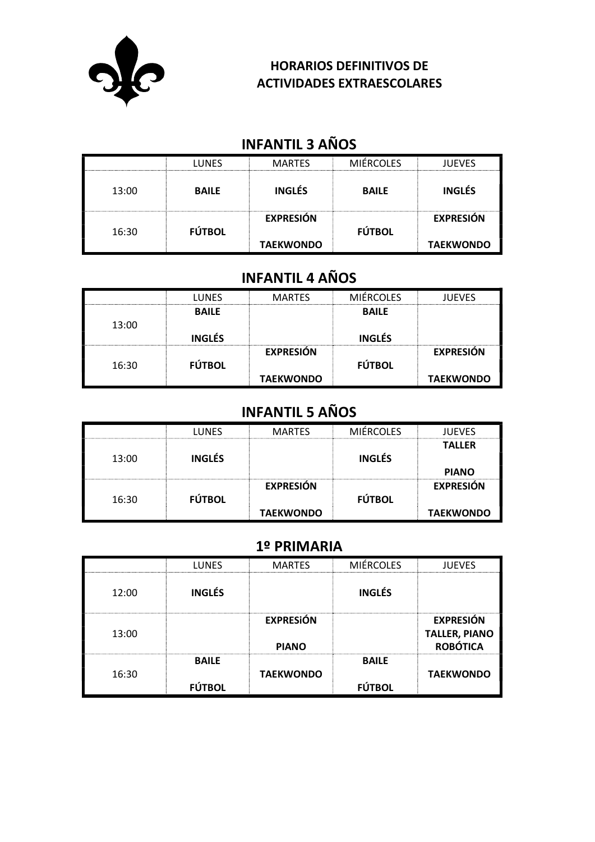

### HORARIOS DEFINITIVOS DE ACTIVIDADES EXTRAESCOLARES

# INFANTIL 3 AÑOS

|       | LUNES         | <b>MARTES</b>                        | MIÉRCOI ES    | <b>JUEVES</b>                        |
|-------|---------------|--------------------------------------|---------------|--------------------------------------|
| 13:00 | <b>BAILE</b>  | <b>INGLÉS</b>                        | <b>BAILE</b>  | <b>INGLÉS</b>                        |
| 16:30 | <b>FÚTBOL</b> | <b>EXPRESIÓN</b><br><b>TAEKWONDO</b> | <b>FÚTBOL</b> | <b>EXPRESIÓN</b><br><b>TAEKWONDO</b> |

# INFANTIL 4 AÑOS

|       | <b>LUNES</b>  | <b>MARTES</b>    | <b>MIÉRCOLES</b> | <b>JUEVES</b>    |
|-------|---------------|------------------|------------------|------------------|
|       | <b>BAILE</b>  |                  | <b>BAILE</b>     |                  |
| 13:00 |               |                  |                  |                  |
|       | <b>INGLÉS</b> |                  | <b>INGLÉS</b>    |                  |
|       |               | <b>EXPRESIÓN</b> |                  | <b>EXPRESIÓN</b> |
| 16:30 | <b>FÚTBOL</b> |                  | <b>FÚTBOL</b>    |                  |
|       |               | <b>TAEKWONDO</b> |                  | <b>TAEKWONDO</b> |

# INFANTIL 5 AÑOS

|       | LUNES         | <b>MARTES</b>                        | <b>MIÉRCOLES</b> | <b>JUEVES</b>                        |
|-------|---------------|--------------------------------------|------------------|--------------------------------------|
| 13:00 | <b>INGLÉS</b> |                                      | <b>INGLÉS</b>    | <b>TALLER</b><br><b>PIANO</b>        |
| 16:30 | <b>FÚTBOL</b> | <b>EXPRESIÓN</b><br><b>TAEKWONDO</b> | <b>FÚTBOL</b>    | <b>EXPRESIÓN</b><br><b>TAEKWONDO</b> |

## 1º PRIMARIA

|       | <b>IUNES</b>                  | <b>MARTES</b>                    | <b>MIÉRCOLES</b>              | <b>ILIEVES</b>                                              |
|-------|-------------------------------|----------------------------------|-------------------------------|-------------------------------------------------------------|
| 12:00 | <b>INGLÉS</b>                 |                                  | <b>INGLÉS</b>                 |                                                             |
| 13:00 |                               | <b>EXPRESIÓN</b><br><b>PIANO</b> |                               | <b>EXPRESIÓN</b><br><b>TALLER, PIANO</b><br><b>ROBÓTICA</b> |
| 16:30 | <b>BAILE</b><br><b>FÚTBOL</b> | <b>TAEKWONDO</b>                 | <b>BAILE</b><br><b>FÚTBOL</b> | <b>TAEKWONDO</b>                                            |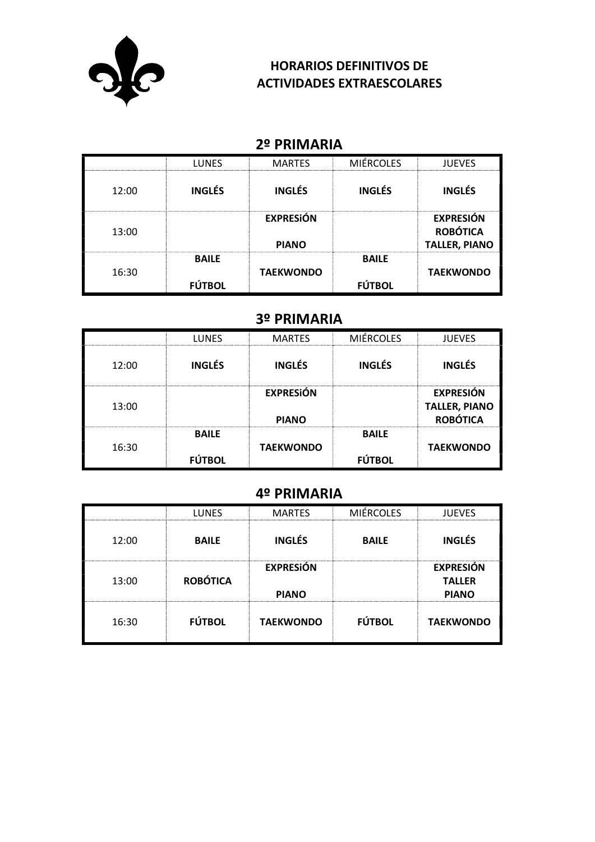

### HORARIOS DEFINITIVOS DE ACTIVIDADES EXTRAESCOLARES

## 2º PRIMARIA

|       | <b>LUNES</b>                  | <b>MARTES</b>                    | <b>MIÉRCOLES</b>              | <b>JUEVES</b>                                               |
|-------|-------------------------------|----------------------------------|-------------------------------|-------------------------------------------------------------|
| 12:00 | <b>INGLÉS</b>                 | <b>INGLÉS</b>                    | <b>INGLÉS</b>                 | <b>INGLÉS</b>                                               |
| 13:00 |                               | <b>EXPRESIÓN</b><br><b>PIANO</b> |                               | <b>EXPRESIÓN</b><br><b>ROBÓTICA</b><br><b>TALLER, PIANO</b> |
| 16:30 | <b>BAILE</b><br><b>FÚTBOL</b> | <b>TAEKWONDO</b>                 | <b>BAILE</b><br><b>FÚTBOL</b> | <b>TAEKWONDO</b>                                            |

## 3º PRIMARIA

|       | <b>LUNES</b>                  | <b>MARTES</b>                    | <b>MIÉRCOLES</b>              | <b>JUEVES</b>                                               |
|-------|-------------------------------|----------------------------------|-------------------------------|-------------------------------------------------------------|
| 12:00 | <b>INGLÉS</b>                 | <b>INGLÉS</b>                    | <b>INGLÉS</b>                 | <b>INGLÉS</b>                                               |
| 13:00 |                               | <b>EXPRESIÓN</b><br><b>PIANO</b> |                               | <b>EXPRESIÓN</b><br><b>TALLER, PIANO</b><br><b>ROBÓTICA</b> |
| 16:30 | <b>BAILE</b><br><b>FÚTBOL</b> | <b>TAEKWONDO</b>                 | <b>BAILE</b><br><b>FÚTBOL</b> | <b>TAEKWONDO</b>                                            |

### 4º PRIMARIA

|       | <b>LUNES</b>    | <b>MARTES</b>                    | <b>MIÉRCOLES</b> | <b>JUEVES</b>                                     |
|-------|-----------------|----------------------------------|------------------|---------------------------------------------------|
| 12:00 | <b>BAILE</b>    | <b>INGLÉS</b>                    | <b>BAILE</b>     | <b>INGLÉS</b>                                     |
| 13:00 | <b>ROBÓTICA</b> | <b>EXPRESIÓN</b><br><b>PIANO</b> |                  | <b>EXPRESIÓN</b><br><b>TALLER</b><br><b>PIANO</b> |
| 16:30 | <b>FÚTBOL</b>   | <b>TAEKWONDO</b>                 | <b>FÚTBOL</b>    | <b>TAEKWONDO</b>                                  |